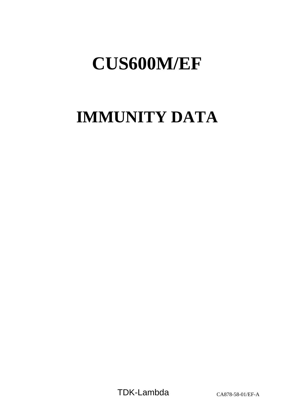# **IMMUNITY DATA**

TDK-Lambda CA878-58-01/EF-A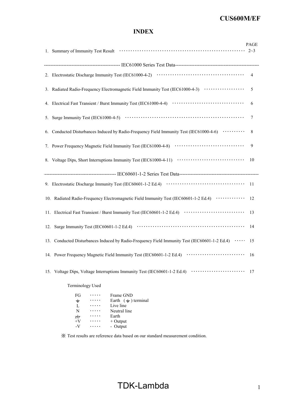# INDEX

|                                                                                                       | PAGE       |
|-------------------------------------------------------------------------------------------------------|------------|
|                                                                                                       |            |
|                                                                                                       |            |
|                                                                                                       |            |
| 3. Radiated Radio-Frequency Electromagnetic Field Immunity Test (IEC61000-4-3) ····················   | $\sqrt{5}$ |
|                                                                                                       | - 6        |
| 5.                                                                                                    |            |
| 6.                                                                                                    |            |
|                                                                                                       |            |
|                                                                                                       |            |
|                                                                                                       |            |
|                                                                                                       |            |
| 10. Radiated Radio-Frequency Electromagnetic Field Immunity Test (IEC60601-1-2 Ed.4) ············· 12 |            |
|                                                                                                       |            |
|                                                                                                       |            |
| 13. Conducted Disturbances Induced by Radio-Frequency Field Immunity Test (IEC60601-1-2 Ed.4)  15     |            |
|                                                                                                       |            |
|                                                                                                       |            |
| Terminology Used                                                                                      |            |

| FG               | Frame GND                      |
|------------------|--------------------------------|
| $\div$           | Earth $(\frac{1}{x})$ terminal |
| L                | Live line                      |
| N                | Neutral line                   |
| $\overline{\pi}$ | Earth                          |
| $+V$             | $+$ Output                     |
| $-V$             | - Output                       |
|                  |                                |

※ Test results are reference data based on our standard measurement condition.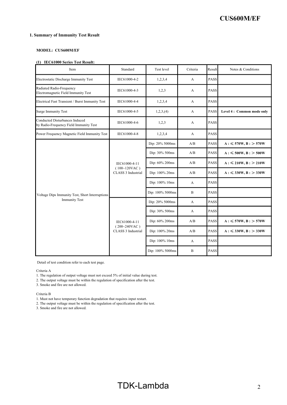#### 1. Summary of Immunity Test Result

#### MODEL: CUS600M/EF

#### (1) IEC61000 Series Test Result:

| Item                                                                     | Standard                                               | Test level       | Criteria     | Result      | Notes & Conditions        |
|--------------------------------------------------------------------------|--------------------------------------------------------|------------------|--------------|-------------|---------------------------|
| Electrostatic Discharge Immunity Test                                    | IEC61000-4-2                                           | 1,2,3,4          | A            | PASS        |                           |
| Radiated Radio-Frequency<br>Electromagnetic Field Immunity Test          | IEC61000-4-3                                           | 1,2,3            | A            | <b>PASS</b> |                           |
| Electrical Fast Transient / Burst Immunity Test                          | IEC61000-4-4                                           | 1,2,3,4          | A            | <b>PASS</b> |                           |
| <b>Surge Immunity Test</b>                                               | IEC61000-4-5                                           | 1,2,3, (4)       | А            | <b>PASS</b> | Level 4: Common mode only |
| Conducted Disturbances Induced<br>by Radio-Frequency Field Immunity Test | IEC61000-4-6                                           | 1,2,3            | $\mathbf{A}$ | <b>PASS</b> |                           |
| Power Frequency Magnetic Field Immunity Test                             | IEC61000-4-8                                           | 1,2,3,4          | A            | <b>PASS</b> |                           |
|                                                                          | IEC61000-4-11<br>$(100~120$ VAC)<br>CLASS 3 Industrial | Dip: 20% 5000ms  | A/B          | <b>PASS</b> | $A: \leq 570W, B: > 570W$ |
|                                                                          |                                                        | Dip: 30% 500ms   | A/B          | <b>PASS</b> | $A: \leq 500W, B: > 500W$ |
|                                                                          |                                                        | Dip: 60% 200ms   | A/B          | <b>PASS</b> | $A: \leq 210W, B: > 210W$ |
|                                                                          |                                                        | Dip: 100% 20ms   | A/B          | <b>PASS</b> | $A: \leq 330W, B: > 330W$ |
|                                                                          |                                                        | Dip: 100% 10ms   | A            | <b>PASS</b> |                           |
| Voltage Dips Immunity Test, Short Interruptions                          |                                                        | Dip: 100% 5000ms | $\mathbf B$  | <b>PASS</b> |                           |
| <b>Immunity Test</b>                                                     |                                                        | Dip: 20% 5000ms  | A            | <b>PASS</b> |                           |
|                                                                          |                                                        | Dip: 30% 500ms   | A            | <b>PASS</b> |                           |
|                                                                          | IEC61000-4-11                                          | Dip: 60% 200ms   | A/B          | <b>PASS</b> | $A: \leq 570W, B: > 570W$ |
|                                                                          | $(200~240$ VAC)<br>CLASS 3 Industrial                  | Dip: 100% 20ms   | A/B          | <b>PASS</b> | $A: \leq 330W, B: > 330W$ |
|                                                                          |                                                        | Dip: 100% 10ms   | A            | <b>PASS</b> |                           |
|                                                                          |                                                        | Dip: 100% 5000ms | $\mathbf B$  | <b>PASS</b> |                           |

Detail of test condition refer to each test page.

Criteria A

1. The regulation of output voltage must not exceed 5% of initial value during test.

2. The output voltage must be within the regulation of specification after the test.

3. Smoke and fire are not allowed.

Criteria B

1. Must not have temporary function degradation that requires input restart.

2. The output voltage must be within the regulation of specification after the test.

3. Smoke and fire are not allowed.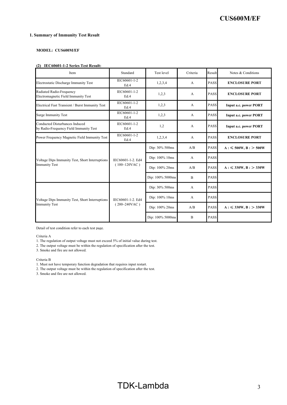# 1. Summary of Immunity Test Result

# MODEL: CUS600M/EF

# (2) IEC60601-1-2 Series Test Result:

| Item                                                                     | Standard                             | <b>Test level</b> | Criteria       | Result      | Notes & Conditions           |
|--------------------------------------------------------------------------|--------------------------------------|-------------------|----------------|-------------|------------------------------|
| Electrostatic Discharge Immunity Test                                    | IEC60601-1-2<br>Ed.4                 | 1,2,3,4           | A              | <b>PASS</b> | <b>ENCLOSURE PORT</b>        |
| Radiated Radio-Frequency<br>Electromagnetic Field Immunity Test          | IEC60601-1-2<br>Ed.4                 | 1,2,3             | A              | <b>PASS</b> | <b>ENCLOSURE PORT</b>        |
| Electrical Fast Transient / Burst Immunity Test                          | IEC60601-1-2<br>Ed.4                 | 1,2,3             | A              | <b>PASS</b> | <b>Input a.c. power PORT</b> |
| <b>Surge Immunity Test</b>                                               | IEC60601-1-2<br>Ed.4                 | 1,2,3             | A              | <b>PASS</b> | <b>Input a.c. power PORT</b> |
| Conducted Disturbances Induced<br>by Radio-Frequency Field Immunity Test | IEC60601-1-2<br>Ed.4                 | 1,2               | $\mathbf{A}$   | <b>PASS</b> | <b>Input a.c. power PORT</b> |
| Power Frequency Magnetic Field Immunity Test                             | IEC60601-1-2<br>Ed.4                 | 1,2,3,4           | A              | <b>PASS</b> | <b>ENCLOSURE PORT</b>        |
|                                                                          | IEC60601-1-2. Ed4<br>$(100~120$ VAC) | Dip: 30% 500ms    | A/B            | <b>PASS</b> | $A: \leq 500W, B: > 500W$    |
| Voltage Dips Immunity Test, Short Interruptions                          |                                      | Dip: 100% 10ms    | A              | PASS        |                              |
| <b>Immunity Test</b>                                                     |                                      | Dip: 100% 20ms    | A/B            | <b>PASS</b> | $A: \leq 330W, B: > 330W$    |
|                                                                          |                                      | Dip: 100% 5000ms  | $\overline{B}$ | <b>PASS</b> |                              |
|                                                                          |                                      | Dip: 30% 500ms    | $\mathbf{A}$   | <b>PASS</b> |                              |
| Voltage Dips Immunity Test, Short Interruptions                          | IEC60601-1-2. Ed4<br>$(200~240$ VAC) | Dip: 100% 10ms    | $\overline{A}$ | <b>PASS</b> |                              |
| <b>Immunity Test</b>                                                     |                                      | Dip: 100% 20ms    | A/B            | <b>PASS</b> | $A: \leq 330W, B: > 330W$    |
|                                                                          |                                      | Dip: 100% 5000ms  | B              | <b>PASS</b> |                              |

Detail of test condition refer to each test page.

Criteria A

1. The regulation of output voltage must not exceed 5% of initial value during test.

2. The output voltage must be within the regulation of specification after the test.

3. Smoke and fire are not allowed.

Criteria B

1. Must not have temporary function degradation that requires input restart.

2. The output voltage must be within the regulation of specification after the test.

3. Smoke and fire are not allowed.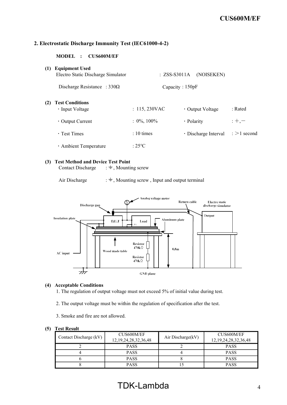# 2. Electrostatic Discharge Immunity Test (IEC61000-4-2)

MODEL : CUS600M/EF

| (1) | <b>Equipment Used</b><br>Electro Static Discharge Simulator | $: ZSS-S3011A$  | (NOISEKEN)           |                        |
|-----|-------------------------------------------------------------|-----------------|----------------------|------------------------|
|     | Discharge Resistance : $330\Omega$                          |                 | Capacity : $150pF$   |                        |
| (2) | <b>Test Conditions</b><br>• Input Voltage                   | : 115,230VAC    | • Output Voltage     | : Rated                |
|     | $\cdot$ Output Current                                      | $: 0\%, 100\%$  | • Polarity           | $;+, -$                |
|     | $\cdot$ Test Times                                          | $: 10 \times$   | · Discharge Interval | $\therefore$ >1 second |
|     | · Ambient Temperature                                       | $:25^{\circ}$ C |                      |                        |

# (3) Test Method and Device Test Point

Contact Discharge  $\;\; : \frac{1}{x}$ , Mounting screw

Air Discharge  $: \frac{1}{x}$ , Mounting screw, Input and output terminal



# (4) Acceptable Conditions

1. The regulation of output voltage must not exceed 5% of initial value during test.

2. The output voltage must be within the regulation of specification after the test.

3. Smoke and fire are not allowed.

| Contact Discharge (kV) | CUS600M/EF<br>12, 19, 24, 28, 32, 36, 48 | Air Discharge(kV) | CUS600M/EF<br>12, 19, 24, 28, 32, 36, 48 |
|------------------------|------------------------------------------|-------------------|------------------------------------------|
|                        | <b>PASS</b>                              |                   | <b>PASS</b>                              |
|                        | <b>PASS</b>                              |                   | <b>PASS</b>                              |
|                        | <b>PASS</b>                              |                   | <b>PASS</b>                              |
|                        | <b>PASS</b>                              |                   | PASS                                     |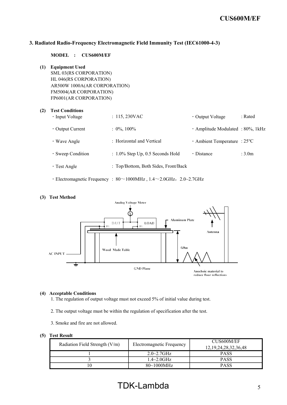# 3. Radiated Radio-Frequency Electromagnetic Field Immunity Test (IEC61000-4-3)

MODEL : CUS600M/EF

(1) Equipment Used SML 03(RS CORPORATION) HL 046(RS CORPORATION) AR500W 1000A(AR CORPORATION) FM5004(AR CORPORATION) FP6001(AR CORPORATION)

# (2) Test Conditions • Input Voltage : 115, 230VAC • Output Voltage : Rated • Output Current : 0%, 100% · Current : 0%, 100% · Amplitude Modulated : 80%, 1kHz ・Wave Angle : Horizontal and Vertical ・Ambient Temperature : 25℃ • Sweep Condition : 1.0% Step Up, 0.5 Seconds Hold • Distance : 3.0m ・Test Angle : Top/Bottom, Both Sides, Front/Back  $\cdot$  Electromagnetic Frequency : 80 $\sim$ 1000MHz, 1.4 $\sim$ 2.0GHz, 2.0~2.7GHz

(3) Test Method **Analog Voltage Meter Aluminum Plate** D.U.T LOAD **EC**  $\mathbf{r}$ Antenna  $0.8<sub>m</sub>$ Wood Made Table **AC INPUT** į **GND Plane** Anechoic material to reduce floor reflections

## (4) Acceptable Conditions

1. The regulation of output voltage must not exceed 5% of initial value during test.

- 2. The output voltage must be within the regulation of specification after the test.
- 3. Smoke and fire are not allowed.

### (5) Test Result

| Radiation Field Strength $(V/m)$ | Electromagnetic Frequency      | CUS600M/EF<br>12, 19, 24, 28, 32, 36, 48 |
|----------------------------------|--------------------------------|------------------------------------------|
|                                  | $2.0 - 2.7$ GHz                | <b>PASS</b>                              |
|                                  | $1.4\!\!\sim\!\!2.0 {\rm GHz}$ | <b>PASS</b>                              |
|                                  | $80 - 1000$ MHz                | <b>PASS</b>                              |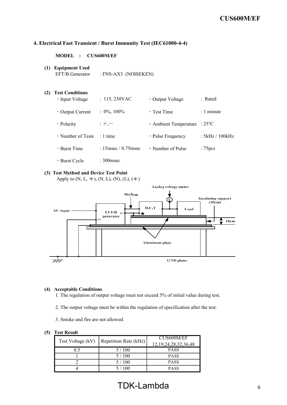# 4. Electrical Fast Transient / Burst Immunity Test (IEC61000-4-4)

MODEL : CUS600M/EF

(1) Equipment Used

EFT/B Generator : FNS-AX3 (NOISEKEN)

- (2) Test Conditions • Input Voltage : 115, 230VAC • Output Voltage : Rated • Output Current : 0%, 100% • Test Time : 1 minute • Polarity : +,-<br>
→ Ambient Temperature : 25 °C  $\cdot$  Number of Tests : 1 time  $\cdot$  Pulse Frequency : 5kHz / 100kHz • Burst Time : 15msec / 0.75msec • Number of Pulse : 75pcs ・Burst Cycle : 300msec
- (3) Test Method and Device Test Point

Apply to  $(N, L, \pm)$ ,  $(N, L)$ ,  $(N)$ ,  $(L)$ ,  $(\pm)$ 



#### (4) Acceptable Conditions

1. The regulation of output voltage must not exceed 5% of initial value during test.

- 2. The output voltage must be within the regulation of specification after the test.
- 3. Smoke and fire are not allowed.

| Test Voltage (kV) | Repetition Rate (kHz) | CUS600M/EF<br>12, 19, 24, 28, 32, 36, 48 |
|-------------------|-----------------------|------------------------------------------|
| 0.5               | 5/100                 | <b>PASS</b>                              |
|                   | 5/100                 | <b>PASS</b>                              |
|                   | 5/100                 | <b>PASS</b>                              |
|                   | 5 / 100               | <b>PASS</b>                              |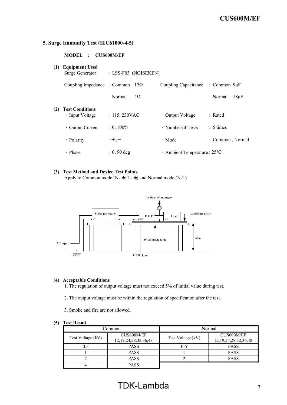# 5. Surge Immunity Test (IEC61000-4-5)

| MODEL : CUS600M/EF                    |                        |                                |
|---------------------------------------|------------------------|--------------------------------|
| (1) Equipment Used<br>Surge Generator | $: LSS-F03$ (NOISEKEN) |                                |
|                                       |                        | $C_{\alpha}$ $\ldots$ $\vdots$ |

|     | Coupling Impedance : Common $12\Omega$          |                     | Coupling Capacitance : Common 9µF   |                     |
|-----|-------------------------------------------------|---------------------|-------------------------------------|---------------------|
|     |                                                 | Normal<br>$2\Omega$ |                                     | Normal<br>$18\mu F$ |
| (2) | <b>Test Conditions</b><br>$\cdot$ Input Voltage | : 115,230VAC        | • Output Voltage                    | : Rated             |
|     | $\cdot$ Output Current                          | $: 0, 100\%$        | • Number of Tests                   | $: 5 \times$        |
|     | • Polarity                                      | $: +,-$             | $\cdot$ Mode                        | : Common, Normal    |
|     | • Phase                                         | $: 0, 90$ deg       | $\cdot$ Ambient Temperature : 25 °C |                     |

## (3) Test Method and Device Test Points

Apply to Common mode (N- $\frac{1}{2}$ , L- $\frac{1}{2}$ ) and Normal mode (N-L)



#### (4) Acceptable Conditions

1. The regulation of output voltage must not exceed 5% of initial value during test.

2. The output voltage must be within the regulation of specification after the test.

3. Smoke and fire are not allowed.

#### (5) Test Result

| .)ommon           |                                          | Normal            |                                          |  |
|-------------------|------------------------------------------|-------------------|------------------------------------------|--|
| Test Voltage (kV) | CUS600M/EF<br>12, 19, 24, 28, 32, 36, 48 | Test Voltage (kV) | CUS600M/EF<br>12, 19, 24, 28, 32, 36, 48 |  |
| 0.5               | <b>PASS</b>                              | 0.5               | <b>PASS</b>                              |  |
|                   | <b>PASS</b>                              |                   | <b>PASS</b>                              |  |
|                   | <b>PASS</b>                              |                   | <b>PASS</b>                              |  |
|                   | <b>PASS</b>                              |                   |                                          |  |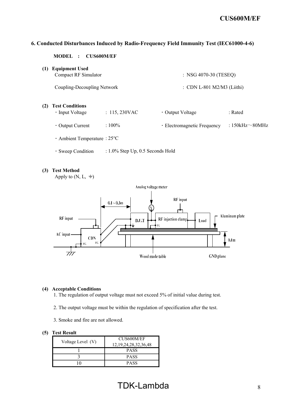# 6. Conducted Disturbances Induced by Radio-Frequency Field Immunity Test (IEC61000-4-6)

MODEL : CUS600M/EF

(1) Equipment Used Compact RF Simulator : NSG 4070-30 (TESEQ)

Coupling-Decoupling Network : CDN L-801 M2/M3 (Liithi)

# (2) Test Conditions

- Input Voltage : 115, 230VAC Output Voltage : Rated
- Output Current : 100% Electromagnetic Frequency : 150kHz ~ 80MHz
- ・Ambient Temperature : 25℃
- ・Sweep Condition : 1.0% Step Up, 0.5 Seconds Hold

# (3) Test Method

Apply to  $(N, L, \div)$ 



#### (4) Acceptable Conditions

1. The regulation of output voltage must not exceed 5% of initial value during test.

- 2. The output voltage must be within the regulation of specification after the test.
- 3. Smoke and fire are not allowed.

#### (5) Test Result

|                   | CUS600M/EF                 |  |  |
|-------------------|----------------------------|--|--|
| Voltage Level (V) | 12, 19, 24, 28, 32, 36, 48 |  |  |
|                   | <b>PASS</b>                |  |  |
|                   | <b>PASS</b>                |  |  |
|                   | <b>PASS</b>                |  |  |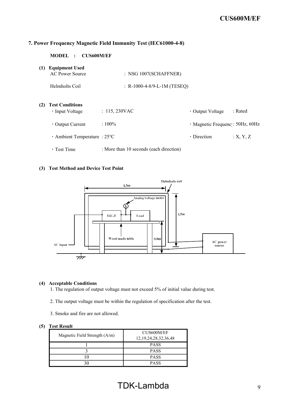# 7. Power Frequency Magnetic Field Immunity Test (IEC61000-4-8)

# MODEL : CUS600M/EF

| (1) | <b>Equipment Used</b><br>AC Power Source              | $:$ NSG 1007(SCHAFFNER)                 |                                 |          |
|-----|-------------------------------------------------------|-----------------------------------------|---------------------------------|----------|
|     | Helmholts Coil                                        | : R-1000-4-8/9-L-1M (TESEQ)             |                                 |          |
| (2) | <b>Test Conditions</b><br>· Input Voltage             | : 115,230VAC                            | • Output Voltage                | : Rated  |
|     | $\cdot$ Output Current                                | $:100\%$                                | · Magnetic Frequenc: 50Hz, 60Hz |          |
|     | $\cdot$ Ambient Temperature : 25 $\mathrm{^{\circ}C}$ |                                         | $\cdot$ Direction               | :X, Y, Z |
|     | $\cdot$ Test Time                                     | : More than 10 seconds (each direction) |                                 |          |

# (3) Test Method and Device Test Point



## (4) Acceptable Conditions

1. The regulation of output voltage must not exceed 5% of initial value during test.

- 2. The output voltage must be within the regulation of specification after the test.
- 3. Smoke and fire are not allowed.

| Magnetic Field Strength (A/m) | CUS600M/EF<br>12, 19, 24, 28, 32, 36, 48 |
|-------------------------------|------------------------------------------|
|                               | <b>PASS</b>                              |
|                               | <b>PASS</b>                              |
|                               | <b>PASS</b>                              |
|                               | <b>PASS</b>                              |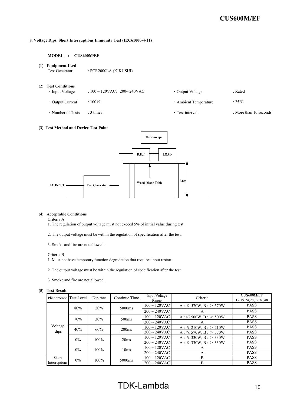#### 8. Voltage Dips, Short Interruptions Immunity Test (IEC61000-4-11)

#### MODEL : CUS600M/EF

(1) Equipment Used

Test Generator : PCR2000LA (KIKUSUI)

- (2) Test Conditions
	- Input Voltage : 100 ~ 120VAC, 200 ~ 240VAC Output Voltage : Rated
	-
	- ・Output Current : 100% ・Ambient Temperature : 25℃

- 
- Number of Tests : 3 times : 3 times : 3 times : 3 times : 1 to than 10 seconds

#### (3) Test Method and Device Test Point



#### (4) Acceptable Conditions

Criteria A

- 1. The regulation of output voltage must not exceed 5% of initial value during test.
- 2. The output voltage must be within the regulation of specification after the test.
- 3. Smoke and fire are not allowed.

#### Criteria B

1. Must not have temporary function degradation that requires input restart.

- 2. The output voltage must be within the regulation of specification after the test.
- 3. Smoke and fire are not allowed.

#### (5) Test Result

| Phenomenon Test Levell |                  | Dip rate | Continue Time      | Input Voltage<br>Range       | Criteria                     | CUS600M/EF<br>12, 19, 24, 28, 32, 36, 48 |
|------------------------|------------------|----------|--------------------|------------------------------|------------------------------|------------------------------------------|
|                        |                  | 20%      | 5000 <sub>ms</sub> | $100 \sim 120$ VAC           | $A: \leq 570W, B: > 570W$    | <b>PASS</b>                              |
|                        | 80%              |          |                    | $200 \sim 240$ VAC           | A                            | <b>PASS</b>                              |
|                        | 70%              | 30%      | 500ms              | $100 \sim 120$ VAC           | $A: \leq 500W$ , $B: > 500W$ | <b>PASS</b>                              |
|                        |                  |          |                    | $200 \sim 240 \text{VAC}$    | A                            | <b>PASS</b>                              |
| Voltage                | 40%<br>60%       |          | 200ms              | $100 \sim 120$ VAC           | $A: \leq 210W, B: > 210W$    | <b>PASS</b>                              |
| dips                   |                  |          |                    | $200 \sim 240$ VAC           | $A: \leq 570W$ , $B: > 570W$ | <b>PASS</b>                              |
|                        | $0\%$<br>$100\%$ |          | 20ms               | $100 \sim 120$ VAC           | $A: \leq 330W$ , $B: > 330W$ | <b>PASS</b>                              |
|                        |                  |          | $200 \sim 240$ VAC | $A: \leq 330W$ , $B: > 330W$ | <b>PASS</b>                  |                                          |
|                        | $0\%$            | $100\%$  | 10ms               | $100 \sim 120$ VAC           | A                            | <b>PASS</b>                              |
|                        |                  |          |                    | $200 \sim 240$ VAC           | A                            | <b>PASS</b>                              |
| Short                  | $0\%$            | $100\%$  | 5000 <sub>ms</sub> | $100 \sim 120$ VAC           | B                            | <b>PASS</b>                              |
| Interruptions          |                  |          |                    | $200 \sim 240$ VAC           | B                            | <b>PASS</b>                              |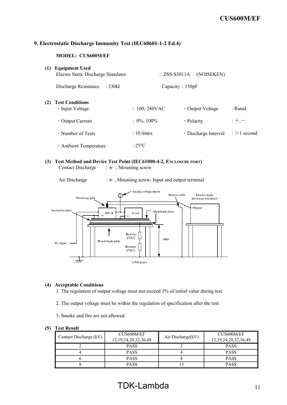# 9. Electrostatic Discharge Immunity Test (IEC60601-1-2 Ed.4)

# MODEL: CUS600M/EF

| (1) | <b>Equipment Used</b><br>Electro Static Discharge Simulator | $: ZSS-S3011A$   | (NOISEKEN)           |                  |
|-----|-------------------------------------------------------------|------------------|----------------------|------------------|
|     | Discharge Resistance<br>: 330 $\Omega$                      | Capacity: 150pF  |                      |                  |
| (2) | <b>Test Conditions</b><br>• Input Voltage                   | $: 100, 240$ VAC | • Output Voltage     | $:$ Rated        |
|     | $\cdot$ Output Current                                      | $: 0\%, 100\%$   | • Polarity           | $: +, -$         |
|     | • Number of Tests                                           | $: 10 \times$    | · Discharge Interval | $\div$ >1 second |
|     | · Ambient Temperature                                       | $\cdot$ 25 °C    |                      |                  |

(3) Test Method and Device Test Point (IEC61000-4-2, ENCLOSURE PORT) Contact Discharge  $\;\; : \frac{1}{x}$ , Mounting screw

Air Discharge  $\cdot \neq$ , Mounting screw, Input and output terminal



# (4) Acceptable Conditions

1. The regulation of output voltage must not exceed 5% of initial value during test.

- 2. The output voltage must be within the regulation of specification after the test.
- 3. Smoke and fire are not allowed.

|                        | CUS600M/EF                 | Air Discharge(kV) | CUS600M/EF                 |
|------------------------|----------------------------|-------------------|----------------------------|
| Contact Discharge (kV) | 12, 19, 24, 28, 32, 36, 48 |                   | 12, 19, 24, 28, 32, 36, 48 |
|                        | <b>PASS</b>                |                   | <b>PASS</b>                |
|                        | <b>PASS</b>                |                   | <b>PASS</b>                |
|                        | <b>PASS</b>                |                   | <b>PASS</b>                |
|                        | <b>PASS</b>                |                   | <b>PASS</b>                |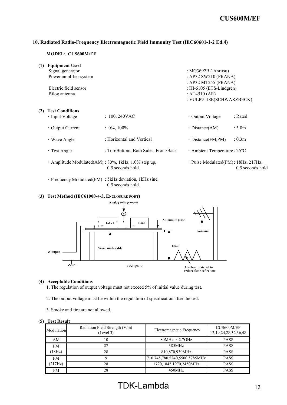# 10. Radiated Radio-Frequency Electromagnetic Field Immunity Test (IEC60601-1-2 Ed.4)

#### MODEL: CUS600M/EF

| (1) | <b>Equipment Used</b>                               |                                      |                                              |                    |
|-----|-----------------------------------------------------|--------------------------------------|----------------------------------------------|--------------------|
|     | Signal generator                                    |                                      | : $MG3692B$ (Anritsu)                        |                    |
|     | Power amplifier system                              |                                      | : AP32 SW210 (PRANA)                         |                    |
|     |                                                     |                                      | : AP32 MT255 (PRANA)                         |                    |
|     | Electric field sensor                               |                                      | : $HI-6105$ (ETS-Lindgren)                   |                    |
|     | Bilog antenna                                       |                                      | : $AT4510 (AR)$                              |                    |
|     |                                                     |                                      | : VULP9118E(SCHWARZBECK)                     |                    |
|     |                                                     |                                      |                                              |                    |
| (2) | <b>Test Conditions</b>                              |                                      |                                              |                    |
|     | • Input Voltage                                     | $: 100, 240$ VAC                     | • Output Voltage                             | : Rated            |
|     | $\cdot$ Output Current                              | $: 0\%$ , 100%                       | $\cdot$ Distance(AM)                         | : 3.0 <sub>m</sub> |
|     |                                                     |                                      |                                              |                    |
|     | • Wave Angle                                        | : Horizontal and Vertical            | $\cdot$ Distance(FM,PM)                      | : 0.3 <sub>m</sub> |
|     |                                                     |                                      |                                              |                    |
|     | $\cdot$ Test Angle                                  | : Top/Bottom, Both Sides, Front/Back | $\cdot$ Ambient Temperature : 25 $\degree$ C |                    |
|     |                                                     |                                      |                                              |                    |
|     | · Amplitude Modulated(AM): 80%, 1kHz, 1.0% step up, |                                      | · Pulse Modulated(PM): 18Hz, 217Hz,          |                    |
|     |                                                     | 0.5 seconds hold.                    |                                              | 0.5 seconds hold   |

・Frequency Modulated(FM) : 5kHz deviation, 1kHz sine, 0.5 seconds hold.

#### (3) Test Method (IEC61000-4-3, ENCLOSURE PORT)



#### (4) Acceptable Conditions

1. The regulation of output voltage must not exceed 5% of initial value during test.

- 2. The output voltage must be within the regulation of specification after the test.
- 3. Smoke and fire are not allowed.

| Modulation | Radiation Field Strength (V/m)<br>(Level 3) | Electromagnetic Frequency     | CUS600M/EF<br>12, 19, 24, 28, 32, 36, 48 |
|------------|---------------------------------------------|-------------------------------|------------------------------------------|
| AM         | 10                                          | 80MHz $\sim$ 2.7GHz           | <b>PASS</b>                              |
| <b>PM</b>  | 27                                          | 385MHz                        | <b>PASS</b>                              |
| $18Hz$ )   | 28                                          | 810,870,930MHz                | <b>PASS</b>                              |
| <b>PM</b>  | Q                                           | 710,745,780,5240,5500,5785MHz | <b>PASS</b>                              |
| (217Hz)    | 28                                          | 1720,1845,1970,2450MHz        | <b>PASS</b>                              |
| FM         | 28                                          | 450MHz                        | <b>PASS</b>                              |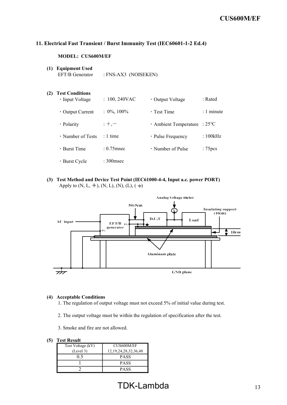# 11. Electrical Fast Transient / Burst Immunity Test (IEC60601-1-2 Ed.4)

# MODEL: CUS600M/EF

(1) Equipment Used EFT/B Generator : FNS-AX3 (NOISEKEN)

| (2) | <b>Test Conditions</b><br>$\cdot$ Input Voltage | $: 100, 240$ VAC | • Output Voltage        | : Rated            |
|-----|-------------------------------------------------|------------------|-------------------------|--------------------|
|     | $\cdot$ Output Current                          | $: 0\%, 100\%$   | $\cdot$ Test Time       | $: 1$ minute       |
|     | • Polarity                                      | $: +, -$         | · Ambient Temperature   | $:25^{\circ}C$     |
|     | $\cdot$ Number of Tests                         | $: 1$ time       | · Pulse Frequency       | :100kHz            |
|     | $\cdot$ Burst Time                              | $: 0.75$ msec    | $\cdot$ Number of Pulse | :75 <sub>pcs</sub> |
|     | • Burst Cycle                                   | $:300$ msec      |                         |                    |

(3) Test Method and Device Test Point (IEC61000-4-4, Input a.c. power PORT) Apply to (N, L,  $\neq$ ), (N, L), (N), (L), ( $\neq$ )



# (4) Acceptable Conditions

- 1. The regulation of output voltage must not exceed 5% of initial value during test.
- 2. The output voltage must be within the regulation of specification after the test.
- 3. Smoke and fire are not allowed.

| .                 |                            |  |  |  |  |
|-------------------|----------------------------|--|--|--|--|
| Test Voltage (kV) | CUS600M/EF                 |  |  |  |  |
| (Level 3)         | 12, 19, 24, 28, 32, 36, 48 |  |  |  |  |
| 0.5               | <b>PASS</b>                |  |  |  |  |
|                   | <b>PASS</b>                |  |  |  |  |
|                   | <b>PASS</b>                |  |  |  |  |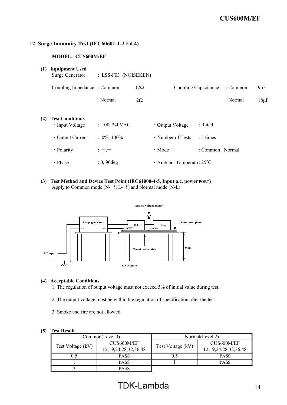# 12. Surge Immunity Test (IEC60601-1-2 Ed.4)

# MODEL: CUS600M/EF

| (1) | <b>Equipment Used</b><br>Surge Generator                                                                                                       | : LSS-F03 (NOISEKEN) |                      |                              |                      |          |           |
|-----|------------------------------------------------------------------------------------------------------------------------------------------------|----------------------|----------------------|------------------------------|----------------------|----------|-----------|
|     | Coupling Impedance : Common                                                                                                                    |                      | $12\Omega$           |                              | Coupling Capacitance | : Common | $9 \mu F$ |
|     |                                                                                                                                                | Normal               | $2\Omega$            |                              |                      | Normal   | $18\mu$ F |
| (2) | <b>Test Conditions</b>                                                                                                                         |                      |                      |                              |                      |          |           |
|     | · Input Voltage                                                                                                                                | $: 100, 240$ VAC     |                      | · Output Voltage             | : Rated              |          |           |
|     | · Output Current                                                                                                                               | $: 0\%, 100\%$       |                      | · Number of Tests            | : 5 times            |          |           |
|     | · Polarity                                                                                                                                     | $: +,-$              |                      | · Mode                       | : Common, Normal     |          |           |
|     | · Phase                                                                                                                                        | $: 0, 90$ deg        |                      | · Ambient Temperatu: 25°C    |                      |          |           |
| (3) | Test Method and Device Test Point (IEC61000-4-5, Input a.c. power PORT)<br>Apply to Common mode (N- $\div$ , L- $\div$ ) and Normal mode (N-L) |                      |                      |                              |                      |          |           |
|     |                                                                                                                                                |                      | Analog voltage meter |                              |                      |          |           |
|     | Surge generator<br>FG                                                                                                                          | $_{\rm FG}$          | D.U.T                | Aluminum plate<br>Load<br>FG |                      |          |           |
|     |                                                                                                                                                |                      | Wood made table      | 0.8 <sub>m</sub>             |                      |          |           |
|     | AC input                                                                                                                                       |                      |                      |                              |                      |          |           |



# (4) Acceptable Conditions

1. The regulation of output voltage must not exceed 5% of initial value during test.

2. The output voltage must be within the regulation of specification after the test.

3. Smoke and fire are not allowed.

|                   | Common(Level 3)            | Normal(Level 2)   |                            |  |
|-------------------|----------------------------|-------------------|----------------------------|--|
|                   | CUS600M/EF                 |                   | CUS600M/EF                 |  |
| Test Voltage (kV) | 12, 19, 24, 28, 32, 36, 48 | Test Voltage (kV) | 12, 19, 24, 28, 32, 36, 48 |  |
| 0.5               | <b>PASS</b>                |                   | <b>PASS</b>                |  |
|                   | <b>PASS</b>                |                   | <b>PASS</b>                |  |
|                   | <b>PASS</b>                |                   |                            |  |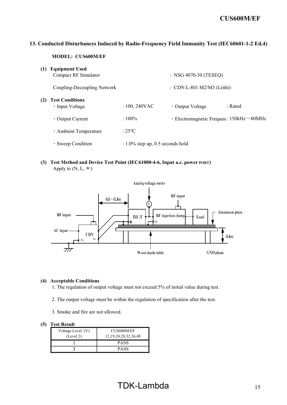# 13. Conducted Disturbances Induced by Radio-Frequency Field Immunity Test (IEC60601-1-2 Ed.4)

# MODEL: CUS600M/EF

| (1) | <b>Equipment Used</b><br>Compact RF Simulator |                                     | : NSG 4070-30 (TESEQ)                                |         |
|-----|-----------------------------------------------|-------------------------------------|------------------------------------------------------|---------|
|     | Coupling-Decoupling Network                   |                                     | : CDN L-801 M2/M3 (Liithi)                           |         |
| (2) | <b>Test Conditions</b><br>• Input Voltage     | $: 100, 240$ VAC                    | • Output Voltage                                     | : Rated |
|     | $\cdot$ Output Current                        | $:100\%$                            | $\cdot$ Electromagnetic Frequen: 150kHz $\sim$ 80MHz |         |
|     | · Ambient Temperature                         | $:25^{\circ}C$                      |                                                      |         |
|     | · Sweep Condition                             | $: 1.0\%$ step up, 0.5 seconds hold |                                                      |         |
|     |                                               |                                     |                                                      |         |

(3) Test Method and Device Test Point (IEC61000-4-6, Input a.c. power PORT) Apply to  $(N, L, \div)$ 



#### (4) Acceptable Conditions

1. The regulation of output voltage must not exceed 5% of initial value during test.

- 2. The output voltage must be within the regulation of specification after the test.
- 3. Smoke and fire are not allowed.

| Voltage Level (V)<br>(Level 2) | CUS600M/EF<br>12, 19, 24, 28, 32, 36, 48 |  |
|--------------------------------|------------------------------------------|--|
|                                | <b>PASS</b>                              |  |
|                                | PASS                                     |  |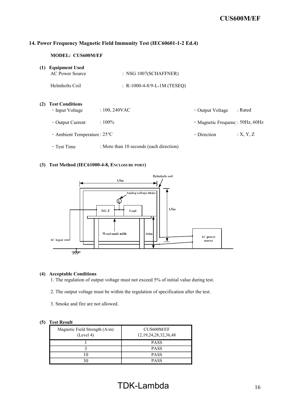# 14. Power Frequency Magnetic Field Immunity Test (IEC60601-1-2 Ed.4)

# MODEL: CUS600M/EF

|  | (1) | <b>Equipment Used</b> |  |
|--|-----|-----------------------|--|
|--|-----|-----------------------|--|

|     | <b>AC Power Source</b>                                | $:$ NSG 1007(SCHAFFNER)                 |                                 |          |
|-----|-------------------------------------------------------|-----------------------------------------|---------------------------------|----------|
|     | Helmholts Coil                                        | : R-1000-4-8/9-L-1M (TESEQ)             |                                 |          |
| (2) | <b>Test Conditions</b><br>$\cdot$ Input Voltage       | $: 100, 240$ VAC                        | • Output Voltage                | : Rated  |
|     | $\cdot$ Output Current                                | $:100\%$                                | · Magnetic Frequenc: 50Hz, 60Hz |          |
|     | $\cdot$ Ambient Temperature : 25 $\mathrm{^{\circ}C}$ |                                         | $\cdot$ Direction               | :X, Y, Z |
|     | · Test Time                                           | : More than 10 seconds (each direction) |                                 |          |

#### (3) Test Method (IEC61000-4-8, ENCLOSURE PORT)



#### (4) Acceptable Conditions

1. The regulation of output voltage must not exceed 5% of initial value during test.

- 2. The output voltage must be within the regulation of specification after the test.
- 3. Smoke and fire are not allowed.

| Magnetic Field Strength (A/m)<br>(Level 4) | CUS600M/EF<br>12, 19, 24, 28, 32, 36, 48 |
|--------------------------------------------|------------------------------------------|
|                                            | <b>PASS</b>                              |
|                                            | <b>PASS</b>                              |
|                                            | <b>PASS</b>                              |
|                                            | <b>PASS</b>                              |